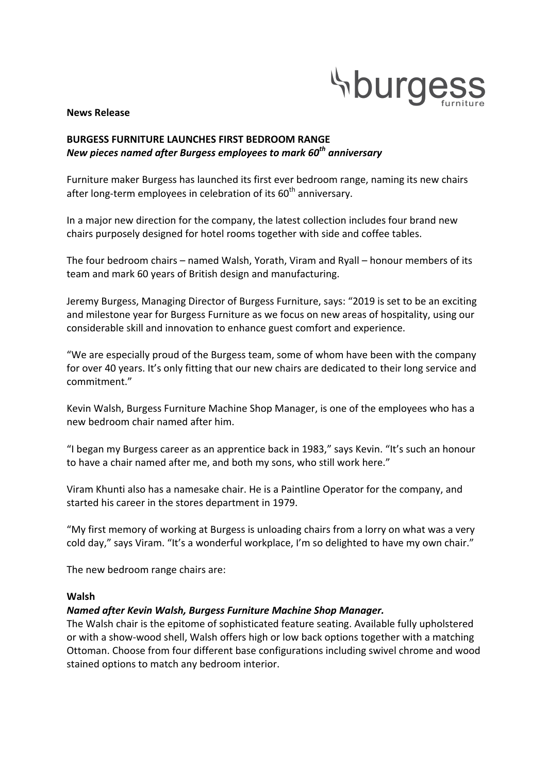

#### **News Release**

## **BURGESS FURNITURE LAUNCHES FIRST BEDROOM RANGE** *New pieces named after Burgess employees to mark 60th anniversary*

Furniture maker Burgess has launched its first ever bedroom range, naming its new chairs after long-term employees in celebration of its  $60<sup>th</sup>$  anniversary.

In a major new direction for the company, the latest collection includes four brand new chairs purposely designed for hotel rooms together with side and coffee tables.

The four bedroom chairs – named Walsh, Yorath, Viram and Ryall – honour members of its team and mark 60 years of British design and manufacturing.

Jeremy Burgess, Managing Director of Burgess Furniture, says: "2019 is set to be an exciting and milestone year for Burgess Furniture as we focus on new areas of hospitality, using our considerable skill and innovation to enhance guest comfort and experience.

"We are especially proud of the Burgess team, some of whom have been with the company for over 40 years. It's only fitting that our new chairs are dedicated to their long service and commitment."

Kevin Walsh, Burgess Furniture Machine Shop Manager, is one of the employees who has a new bedroom chair named after him.

"I began my Burgess career as an apprentice back in 1983." says Kevin. "It's such an honour to have a chair named after me, and both my sons, who still work here."

Viram Khunti also has a namesake chair. He is a Paintline Operator for the company, and started his career in the stores department in 1979.

"My first memory of working at Burgess is unloading chairs from a lorry on what was a very cold day," says Viram. "It's a wonderful workplace, I'm so delighted to have my own chair."

The new bedroom range chairs are:

#### **Walsh**

#### *Named after Kevin Walsh, Burgess Furniture Machine Shop Manager.*

The Walsh chair is the epitome of sophisticated feature seating. Available fully upholstered or with a show-wood shell, Walsh offers high or low back options together with a matching Ottoman. Choose from four different base configurations including swivel chrome and wood stained options to match any bedroom interior.